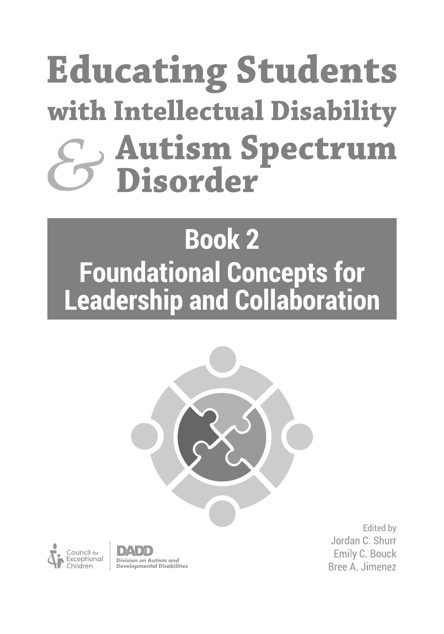# **Educating Students** with Intellectual Disability **Autism Spectrum<br>Disorder**

## **Book 2 Foundational Concepts for Leadership and Collaboration**





Division on Autism and **Developmental Disabilities** 

**Edited** by Jordan C. Shurr **Emily C. Bouck** Bree A. Jimenez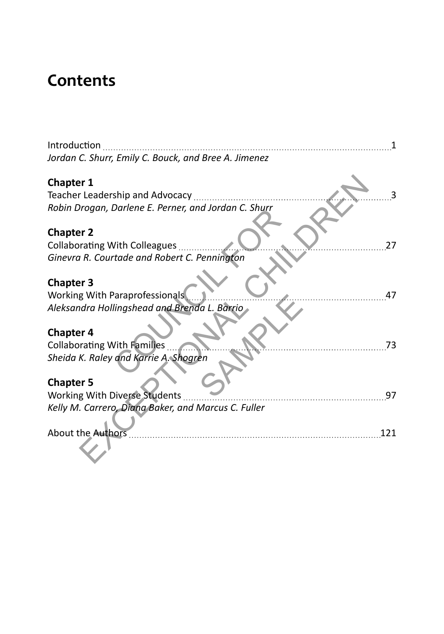### **Contents**

| Introduction<br>Jordan C. Shurr, Emily C. Bouck, and Bree A. Jimenez |  |
|----------------------------------------------------------------------|--|
| <b>Chapter 1</b>                                                     |  |
| Teacher Leadership and Advocacy                                      |  |
| Robin Drogan, Darlene E. Perner, and Jordan C. Shurr                 |  |
| <b>Chapter 2</b>                                                     |  |
| 27<br><b>Collaborating With Colleagues</b>                           |  |
| Ginevra R. Courtade and Robert C. Pennington                         |  |
|                                                                      |  |
| <b>Chapter 3</b>                                                     |  |
| Working With Paraprofessionals<br>47                                 |  |
| Aleksandra Hollingshead and Brenda L. Barrio                         |  |
|                                                                      |  |
| <b>Chapter 4</b>                                                     |  |
| <b>Collaborating With Families</b><br>73                             |  |
| Sheida K. Raley and Karrie A. Shogren                                |  |
| <b>Chapter 5</b>                                                     |  |
| <b>Working With Diverse Students</b><br>97                           |  |
| Kelly M. Carrero, Diana Baker, and Marcus C. Fuller                  |  |
|                                                                      |  |
| <b>About the Authors</b><br>121                                      |  |
|                                                                      |  |
|                                                                      |  |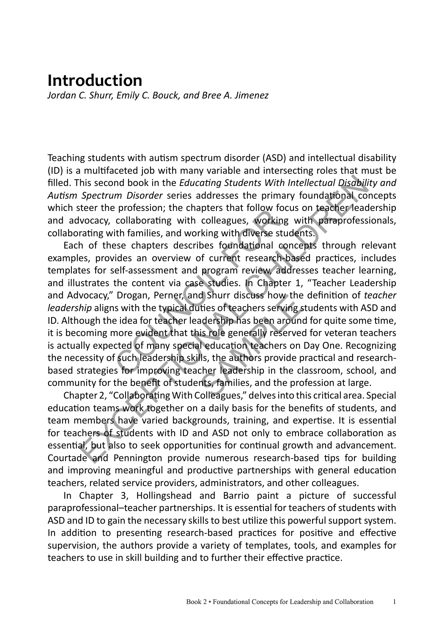#### **Introduction**

*Jordan C. Shurr, Emily C. Bouck, and Bree A. Jimenez*

Teaching students with autism spectrum disorder (ASD) and intellectual disability (ID) is a multifaceted job with many variable and intersecting roles that must be filled. This second book in the *Educating Students With Intellectual Disability and Autism Spectrum Disorder* series addresses the primary foundational concepts which steer the profession; the chapters that follow focus on teacher leadership and advocacy, collaborating with colleagues, working with paraprofessionals, collaborating with families, and working with diverse students.

Each of these chapters describes foundational concepts through relevant examples, provides an overview of current research-based practices, includes templates for self-assessment and program review, addresses teacher learning, and illustrates the content via case studies. In Chapter 1, "Teacher Leadership and Advocacy," Drogan, Perner, and Shurr discuss how the definition of *teacher leadership* aligns with the typical duties of teachers serving students with ASD and ID. Although the idea for teacher leadership has been around for quite some time, it is becoming more evident that this role generally reserved for veteran teachers is actually expected of many special education teachers on Day One. Recognizing the necessity of such leadership skills, the authors provide practical and researchbased strategies for improving teacher leadership in the classroom, school, and community for the benefit of students, families, and the profession at large. Profession; the chapters that follow focus collaborating with colleagues, working<br>th families, and working with diverse studes<br>ese chapters describes foundational cor-<br>ides an overview of current research-b<br>self-assessment his second book in the *Educating Students With Intellectual Disability*<br>Spectrum Disorder series addresses the primary foundational conce<br>sere the profession; the chapters that follow focus on teacher leader<br>vocacy, colla d Shurr discuss now the<br>ties of teachers serving s<br>adership has been around<br>is role generally reserved<br>aducation teachers on<br>lls, the authors provide p<br>cher leadership in the cl<br>nts, families, and the pro<br>colleagues." delv

Chapter 2, "Collaborating With Colleagues," delves into this critical area. Special education teams work together on a daily basis for the benefits of students, and team members have varied backgrounds, training, and expertise. It is essential for teachers of students with ID and ASD not only to embrace collaboration as essential, but also to seek opportunities for continual growth and advancement. Courtade and Pennington provide numerous research-based tips for building and improving meaningful and productive partnerships with general education teachers, related service providers, administrators, and other colleagues.

In Chapter 3, Hollingshead and Barrio paint a picture of successful paraprofessional–teacher partnerships. It is essential for teachers of students with ASD and ID to gain the necessary skills to best utilize this powerful support system. In addition to presenting research-based practices for positive and effective supervision, the authors provide a variety of templates, tools, and examples for teachers to use in skill building and to further their effective practice.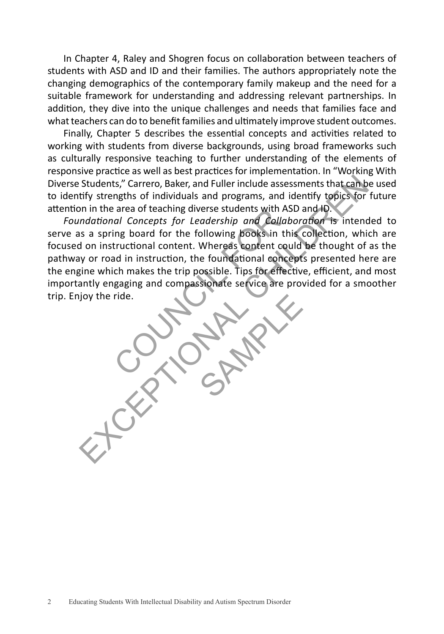In Chapter 4, Raley and Shogren focus on collaboration between teachers of students with ASD and ID and their families. The authors appropriately note the changing demographics of the contemporary family makeup and the need for a suitable framework for understanding and addressing relevant partnerships. In addition, they dive into the unique challenges and needs that families face and what teachers can do to benefit families and ultimately improve student outcomes.

Finally, Chapter 5 describes the essential concepts and activities related to working with students from diverse backgrounds, using broad frameworks such as culturally responsive teaching to further understanding of the elements of responsive practice as well as best practices for implementation. In "Working With Diverse Students," Carrero, Baker, and Fuller include assessments that can be used to identify strengths of individuals and programs, and identify topics for future attention in the area of teaching diverse students with ASD and ID.

*Foundational Concepts for Leadership and Collaboration* is intended to serve as a spring board for the following books in this collection, which are focused on instructional content. Whereas content could be thought of as the pathway or road in instruction, the foundational concepts presented here are the engine which makes the trip possible. Tips for effective, efficient, and most importantly engaging and compassionate service are provided for a smoother trip. Enjoy the ride. al Concepts for Leadership and Collab<br>al Concepts for Leadership and Collab<br>ing board for the following books in th<br>tructional content. Whereas content cou<br>ad in instruction, the foundational conce<br>ch makes the trip possib Students," Carrero, Baker, and Fuller include assessments that can be used that the titly strengths of individuals and programs, and identify topics for full trivial strengths of individuals and programs, and identify topi SAMPLE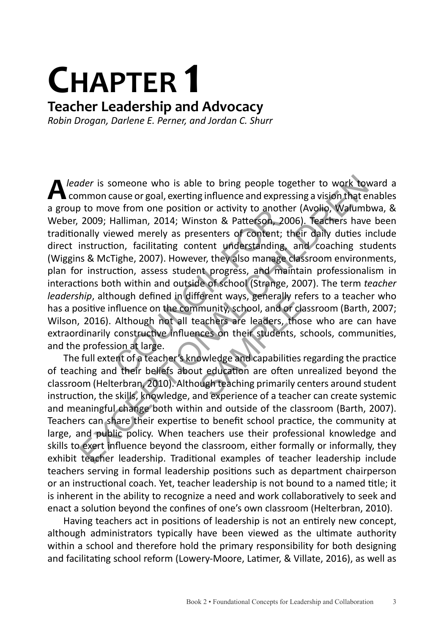## **CHAPTER 1**

#### **Teacher Leadership and Advocacy**

*Robin Drogan, Darlene E. Perner, and Jordan C. Shurr*

**A** *leader* is someone who is able to bring people together to work toward a  common cause or goal, exerting influence and expressing a vision that enables a group to move from one position or activity to another (Avolio, Walumbwa, & Weber, 2009; Halliman, 2014; Winston & Patterson, 2006). Teachers have been traditionally viewed merely as presenters of content; their daily duties include direct instruction, facilitating content understanding, and coaching students (Wiggins & McTighe, 2007). However, they also manage classroom environments, plan for instruction, assess student progress, and maintain professionalism in interactions both within and outside of school (Strange, 2007). The term *teacher leadership*, although defined in different ways, generally refers to a teacher who has a positive influence on the community, school, and or classroom (Barth, 2007; Wilson, 2016). Although not all teachers are leaders, those who are can have extraordinarily constructive influences on their students, schools, communities, and the profession at large. From one position or activity to anothe<br>Halliman, 2014; Winston & Patterson, 200<br>ewed merely as presenters of content; tl<br>on, facilitating content understanding,<br>Fighe, 2007). However, they also manage com, assess student der is someone who is able to bring people together to work towar<br>mmon cause or goal, exerting influence and expressing a vision that ena<br>
to move from one position or activity to another (Avolio, Walumbwi<br>
2009; Halliman, Frent ways, generally re<br>munity, school, and or class<br>achers are leaders, tho<br>lices on their students, s<br>swiledge and capabilities<br>t education are often u<br>lugh teaching primarily condexperience of a teach

The full extent of a teacher's knowledge and capabilities regarding the practice of teaching and their beliefs about education are often unrealized beyond the classroom (Helterbran, 2010). Although teaching primarily centers around student instruction, the skills, knowledge, and experience of a teacher can create systemic and meaningful change both within and outside of the classroom (Barth, 2007). Teachers can share their expertise to benefit school practice, the community at large, and public policy. When teachers use their professional knowledge and skills to exert influence beyond the classroom, either formally or informally, they exhibit teacher leadership. Traditional examples of teacher leadership include teachers serving in formal leadership positions such as department chairperson or an instructional coach. Yet, teacher leadership is not bound to a named title; it is inherent in the ability to recognize a need and work collaboratively to seek and enact a solution beyond the confines of one's own classroom (Helterbran, 2010).

Having teachers act in positions of leadership is not an entirely new concept, although administrators typically have been viewed as the ultimate authority within a school and therefore hold the primary responsibility for both designing and facilitating school reform (Lowery-Moore, Latimer, & Villate, 2016), as well as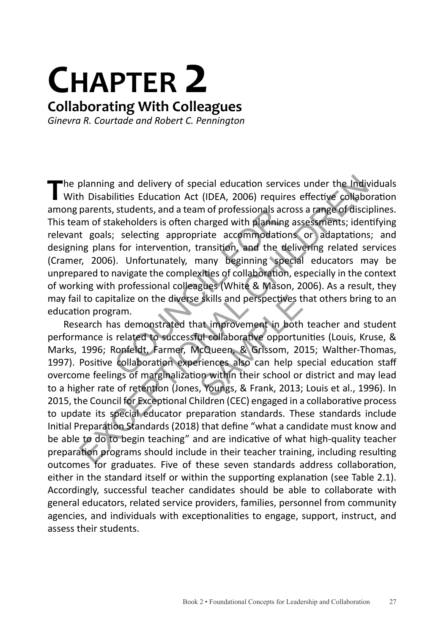## **CHAPTER 2**

#### **Collaborating With Colleagues**

*Ginevra R. Courtade and Robert C. Pennington*

The planning and delivery of special education services under the Individuals<br>With Disabilities Education Act (IDEA, 2006) requires effective collaboration among parents, students, and a team of professionals across a range of disciplines. This team of stakeholders is often charged with planning assessments; identifying relevant goals; selecting appropriate accommodations or adaptations; and designing plans for intervention, transition, and the delivering related services (Cramer, 2006). Unfortunately, many beginning special educators may be unprepared to navigate the complexities of collaboration, especially in the context of working with professional colleagues (White & Mason, 2006). As a result, they may fail to capitalize on the diverse skills and perspectives that others bring to an education program. Is students, and a team of professionals acro<br>akeholders is often charged with planning<br>considers is often charged with planning<br>for intervention, transition, and the de-<br>individually many beginning speed<br>avigate the compl

Research has demonstrated that improvement in both teacher and student performance is related to successful collaborative opportunities (Louis, Kruse, & Marks, 1996; Ronfeldt, Farmer, McQueen, & Grissom, 2015; Walther-Thomas, 1997). Positive collaboration experiences also can help special education staff overcome feelings of marginalization within their school or district and may lead to a higher rate of retention (Jones, Youngs, & Frank, 2013; Louis et al., 1996). In 2015, the Council for Exceptional Children (CEC) engaged in a collaborative process to update its special educator preparation standards. These standards include Initial Preparation Standards (2018) that define "what a candidate must know and be able to do to begin teaching" and are indicative of what high-quality teacher preparation programs should include in their teacher training, including resulting outcomes for graduates. Five of these seven standards address collaboration, either in the standard itself or within the supporting explanation (see Table 2.1). Accordingly, successful teacher candidates should be able to collaborate with general educators, related service providers, families, personnel from community agencies, and individuals with exceptionalities to engage, support, instruct, and assess their students. planning and delivery of special education services under the Individ<br>
h Disabilities Education Act (IDEA, 2006) requires effective collabora<br>
parents, students, and a team of professionals across a range of disciplin<br>
mor Skills and perspectives t<br>at improvement in both<br>ul collaborative opporture<br>cQueen, & Grissom, 20<br>riences also can help sp<br>on within their school or<br>, Youngs, & Frank, 2013;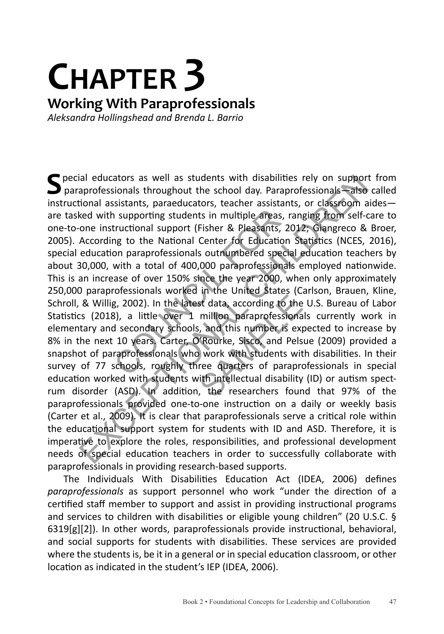### **CHAPTER 3 Working With Paraprofessionals** *Aleksandra Hollingshead and Brenda L. Barrio*

**S**pecial educators as well as students with disabilities rely on support from  paraprofessionals throughout the school day. Paraprofessionals—also called instructional assistants, paraeducators, teacher assistants, or classroom aides are tasked with supporting students in multiple areas, ranging from self-care to one-to-one instructional support (Fisher & Pleasants, 2012; Giangreco & Broer, 2005). According to the National Center for Education Statistics (NCES, 2016), special education paraprofessionals outnumbered special education teachers by about 30,000, with a total of 400,000 paraprofessionals employed nationwide. This is an increase of over 150% since the year 2000, when only approximately 250,000 paraprofessionals worked in the United States (Carlson, Brauen, Kline, Schroll, & Willig, 2002). In the latest data, according to the U.S. Bureau of Labor Statistics (2018), a little over 1 million paraprofessionals currently work in elementary and secondary schools, and this number is expect Statistics (2018), a little over 1 million paraprofessionals currently work in elementary and secondary schools, and this number is expected to increase by 8% in the next 10 years. Carter, O'Rourke, Sisco, and Pelsue (2009) provided a snapshot of paraprofessionals who work with students with disabilities. In their survey of 77 schools, roughly three quarters of paraprofessionals in special education worked with students with intellectual disability (ID) or autism spectrum disorder (ASD). In addition, the researchers found that 97% of the paraprofessionals provided one-to-one instruction on a daily or weekly basis (Carter et al., 2009). It is clear that paraprofessionals serve a critical role within the educational support system for students with ID and ASD. Therefore, it is imperative to explore the roles, responsibilities, and professional development needs of special education teachers in order to successfully collaborate with paraprofessionals in providing research-based supports. In supporting students in multiple areas, refunctional support (Fisher & Pleasants, 20<br>tructional support (Fisher & Pleasants, 20<br>ng to the National Center for Education<br>on paraprofessionals outnumbered special<br>with a tota ial educators as well as students with disabilities rely on support fiamond strong and throughout the school day. Paraprofessionals strange cional assistants, paraeducators, teacher assistants, or classroom aided with supp

The Individuals With Disabilities Education Act (IDEA, 2006) defines *paraprofessionals* as support personnel who work "under the direction of a certified staff member to support and assist in providing instructional programs and services to children with disabilities or eligible young children" (20 U.S.C. § 6319[g][2]). In other words, paraprofessionals provide instructional, behavioral, and social supports for students with disabilities. These services are provided where the students is, be it in a general or in special education classroom, or other location as indicated in the student's IEP (IDEA, 2006).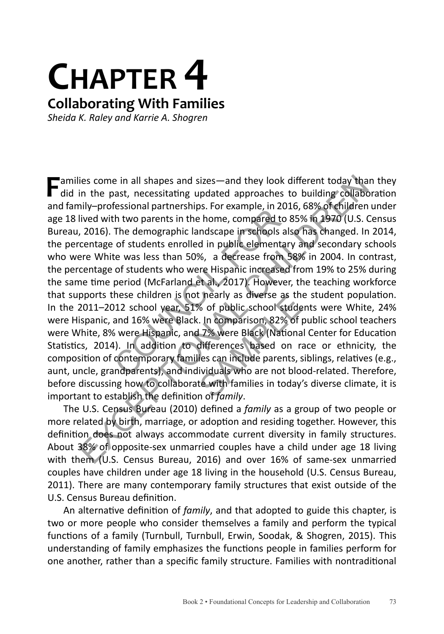## **CHAPTER 4 Collaborating With Families**

*Sheida K. Raley and Karrie A. Shogren*

**F**amilies come in all shapes and sizes—and they look different today than they  $\blacksquare$  did in the past, necessitating updated approaches to building collaboration and family–professional partnerships. For example, in 2016, 68% of children under age 18 lived with two parents in the home, compared to 85% in 1970 (U.S. Census Bureau, 2016). The demographic landscape in schools also has changed. In 2014, the percentage of students enrolled in public elementary and secondary schools who were White was less than 50%, a decrease from 58% in 2004. In contrast, the percentage of students who were Hispanic increased from 19% to 25% during the same time period (McFarland et al., 2017). However, the teaching workforce that supports these children is not nearly as diverse as the student population. In the 2011–2012 school year, 51% of public school students were White, 24% were Hispanic, and 16% were Black. In comparison, 82% of public school teachers were White, 8% were Hispanic, and 7% were Black (National Center for Education Statistics, 2014). In addition to differences based on race or ethnicity, the composition of contemporary families can include parents, siblings, relatives (e.g., aunt, uncle, grandparents), and individuals who are not blood-related. Therefore, before discussing how to collaborate with families in today's diverse climate, it is important to establish the definition of *family*. Essional partitetsings. For example, in 2014<br>The demographic landscape in schools also<br>The demographic landscape in schools also<br>f students enrolled in public elementar<br>te was less than 50%, a decrease from 5<br>of students w ies come in all shapes and sizes—and they look different today than the past, necessitating updated approaches to building collabora<br>ilye-professional partnerships. For example, in 2016, 68% of children un<br>ilyed with two p Fractive as the of public school stude<br>
Section of the SAMP of F<br>
SAMPLE SAMPLE SAMPLE SAMPLE SAMPLE SAMPLE SAMPLE SAMPLE SAMPLE SAMPLE SAMPLE SAMPLE SAMPLE SAMPLE SAMPLE SAMPLE SAMPLE SAMPLE SAMPLE SAMPLE SAMPLE SAMPLE SA

The U.S. Census Bureau (2010) defined a *family* as a group of two people or more related by birth, marriage, or adoption and residing together. However, this definition does not always accommodate current diversity in family structures. About 38% of opposite-sex unmarried couples have a child under age 18 living with them (U.S. Census Bureau, 2016) and over 16% of same-sex unmarried couples have children under age 18 living in the household (U.S. Census Bureau, 2011). There are many contemporary family structures that exist outside of the U.S. Census Bureau definition.

An alternative definition of *family*, and that adopted to guide this chapter, is two or more people who consider themselves a family and perform the typical functions of a family (Turnbull, Turnbull, Erwin, Soodak, & Shogren, 2015). This understanding of family emphasizes the functions people in families perform for one another, rather than a specific family structure. Families with nontraditional